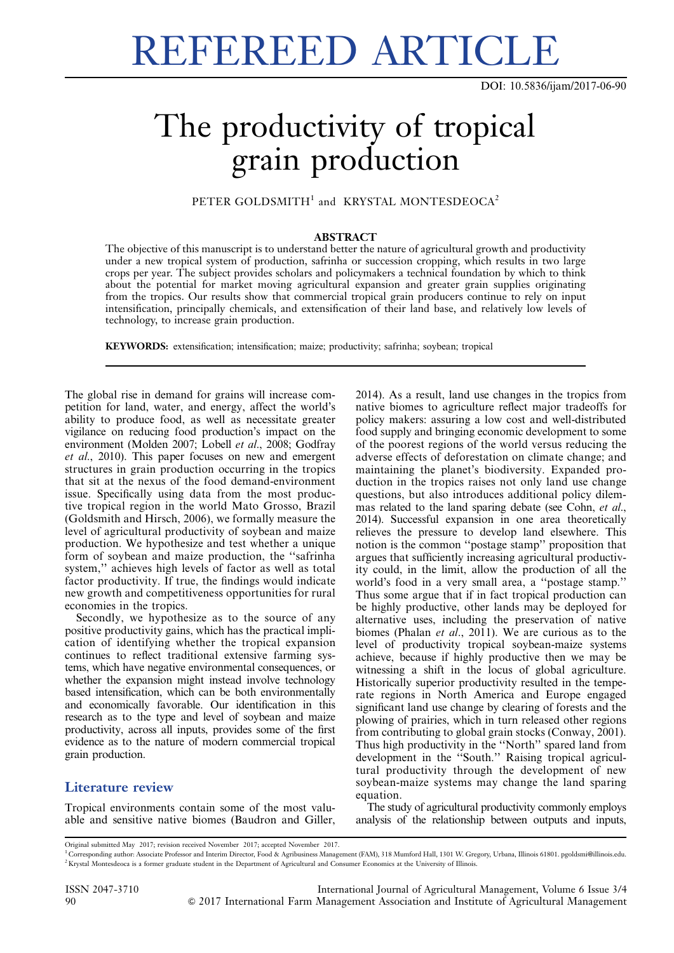# REFEREED ARTICLE

DOI: 10.5836/ijam/2017-06-90

## The productivity of tropical grain production

PETER GOLDSMITH<sup>1</sup> and KRYSTAL MONTESDEOCA<sup>2</sup>

#### ABSTRACT

The objective of this manuscript is to understand better the nature of agricultural growth and productivity under a new tropical system of production, safrinha or succession cropping, which results in two large crops per year. The subject provides scholars and policymakers a technical foundation by which to think about the potential for market moving agricultural expansion and greater grain supplies originating from the tropics. Our results show that commercial tropical grain producers continue to rely on input intensification, principally chemicals, and extensification of their land base, and relatively low levels of technology, to increase grain production.

KEYWORDS: extensification; intensification; maize; productivity; safrinha; soybean; tropical

The global rise in demand for grains will increase competition for land, water, and energy, affect the world's ability to produce food, as well as necessitate greater vigilance on reducing food production's impact on the environment (Molden 2007; Lobell et al., 2008; Godfray et al., 2010). This paper focuses on new and emergent structures in grain production occurring in the tropics that sit at the nexus of the food demand-environment issue. Specifically using data from the most productive tropical region in the world Mato Grosso, Brazil (Goldsmith and Hirsch, 2006), we formally measure the level of agricultural productivity of soybean and maize production. We hypothesize and test whether a unique form of soybean and maize production, the ''safrinha system,'' achieves high levels of factor as well as total factor productivity. If true, the findings would indicate new growth and competitiveness opportunities for rural economies in the tropics.

Secondly, we hypothesize as to the source of any positive productivity gains, which has the practical implication of identifying whether the tropical expansion continues to reflect traditional extensive farming systems, which have negative environmental consequences, or whether the expansion might instead involve technology based intensification, which can be both environmentally and economically favorable. Our identification in this research as to the type and level of soybean and maize productivity, across all inputs, provides some of the first evidence as to the nature of modern commercial tropical grain production.

### Literature review

Tropical environments contain some of the most valuable and sensitive native biomes (Baudron and Giller, 2014). As a result, land use changes in the tropics from native biomes to agriculture reflect major tradeoffs for policy makers: assuring a low cost and well-distributed food supply and bringing economic development to some of the poorest regions of the world versus reducing the adverse effects of deforestation on climate change; and maintaining the planet's biodiversity. Expanded production in the tropics raises not only land use change questions, but also introduces additional policy dilemmas related to the land sparing debate (see Cohn, et al., 2014). Successful expansion in one area theoretically relieves the pressure to develop land elsewhere. This notion is the common ''postage stamp'' proposition that argues that sufficiently increasing agricultural productivity could, in the limit, allow the production of all the world's food in a very small area, a ''postage stamp.'' Thus some argue that if in fact tropical production can be highly productive, other lands may be deployed for alternative uses, including the preservation of native biomes (Phalan et al., 2011). We are curious as to the level of productivity tropical soybean-maize systems achieve, because if highly productive then we may be witnessing a shift in the locus of global agriculture. Historically superior productivity resulted in the temperate regions in North America and Europe engaged significant land use change by clearing of forests and the plowing of prairies, which in turn released other regions from contributing to global grain stocks (Conway, 2001). Thus high productivity in the ''North'' spared land from development in the ''South.'' Raising tropical agricultural productivity through the development of new soybean-maize systems may change the land sparing equation.

The study of agricultural productivity commonly employs analysis of the relationship between outputs and inputs,

Original submitted May 2017; revision received November 2017; accepted November 2017.

<sup>1</sup> Corresponding author: Associate Professor and Interim Director, Food & Agribusiness Management (FAM), 318 Mumford Hall, 1301 W. Gregory, Urbana, Illinois 61801. pgoldsmi@illinois.edu. <sup>2</sup> Krystal Montesdeoca is a former graduate student in the Department of Agricultural and Consumer Economics at the University of Illinois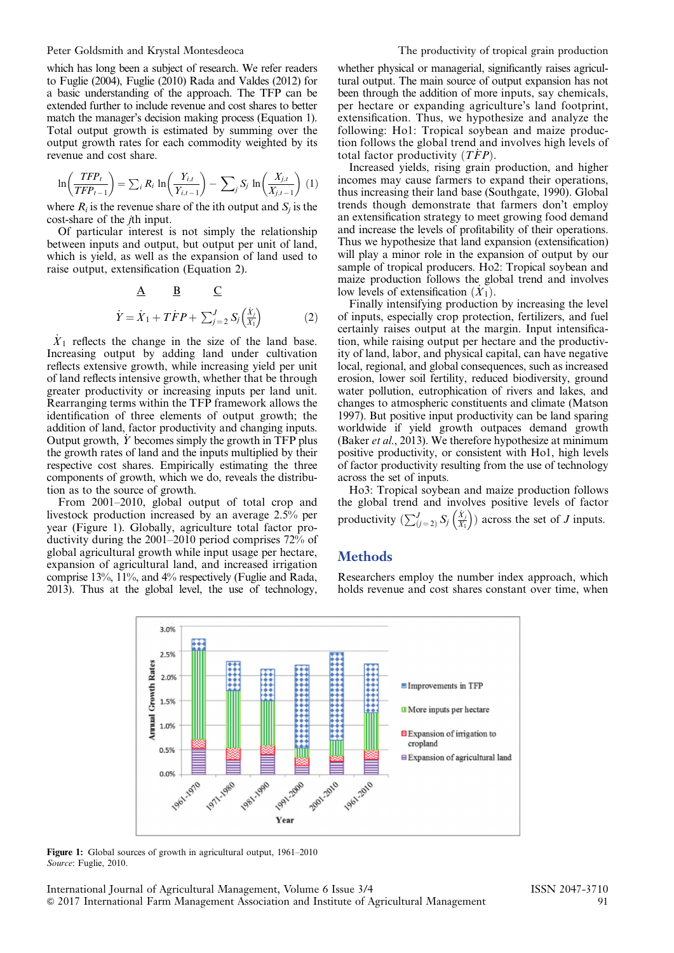which has long been a subject of research. We refer readers to Fuglie (2004), Fuglie (2010) Rada and Valdes (2012) for a basic understanding of the approach. The TFP can be extended further to include revenue and cost shares to better match the manager's decision making process (Equation 1). Total output growth is estimated by summing over the output growth rates for each commodity weighted by its revenue and cost share.

$$
\ln\left(\frac{TFP_t}{TFP_{t-1}}\right) = \sum_i R_i \ln\left(\frac{Y_{i,t}}{Y_{i,t-1}}\right) - \sum_j S_j \ln\left(\frac{X_{j,t}}{X_{j,t-1}}\right) (1)
$$

where  $R_i$  is the revenue share of the ith output and  $S_i$  is the cost-share of the *i*th input.

Of particular interest is not simply the relationship between inputs and output, but output per unit of land, which is yield, as well as the expansion of land used to raise output, extensification (Equation 2).

$$
\underline{A} \qquad \underline{B} \qquad \underline{C}
$$
  

$$
\dot{Y} = \dot{X}_1 + T\dot{F}P + \sum_{j=2}^{J} S_j \left(\frac{\dot{X}_j}{X_1}\right) \tag{2}
$$

 $\dot{X}_1$  reflects the change in the size of the land base. Increasing output by adding land under cultivation reflects extensive growth, while increasing yield per unit of land reflects intensive growth, whether that be through greater productivity or increasing inputs per land unit. Rearranging terms within the TFP framework allows the identification of three elements of output growth; the addition of land, factor productivity and changing inputs. Output growth,  $\dot{Y}$  becomes simply the growth in TFP plus the growth rates of land and the inputs multiplied by their respective cost shares. Empirically estimating the three components of growth, which we do, reveals the distribution as to the source of growth.

From 2001–2010, global output of total crop and livestock production increased by an average 2.5% per year (Figure 1). Globally, agriculture total factor productivity during the 2001–2010 period comprises 72% of global agricultural growth while input usage per hectare, expansion of agricultural land, and increased irrigation comprise 13%, 11%, and 4% respectively (Fuglie and Rada, 2013). Thus at the global level, the use of technology,

whether physical or managerial, significantly raises agricultural output. The main source of output expansion has not been through the addition of more inputs, say chemicals, per hectare or expanding agriculture's land footprint, extensification. Thus, we hypothesize and analyze the following: Ho1: Tropical soybean and maize production follows the global trend and involves high levels of total factor productivity  $(T\dot{F}P)$ .

Increased yields, rising grain production, and higher incomes may cause farmers to expand their operations, thus increasing their land base (Southgate, 1990). Global trends though demonstrate that farmers don't employ an extensification strategy to meet growing food demand and increase the levels of profitability of their operations. Thus we hypothesize that land expansion (extensification) will play a minor role in the expansion of output by our sample of tropical producers. Ho<sub>2</sub>: Tropical soybean and maize production follows the global trend and involves low levels of extensification  $(X_1)$ .

Finally intensifying production by increasing the level of inputs, especially crop protection, fertilizers, and fuel certainly raises output at the margin. Input intensification, while raising output per hectare and the productivity of land, labor, and physical capital, can have negative local, regional, and global consequences, such as increased erosion, lower soil fertility, reduced biodiversity, ground water pollution, eutrophication of rivers and lakes, and changes to atmospheric constituents and climate (Matson 1997). But positive input productivity can be land sparing worldwide if yield growth outpaces demand growth (Baker et al., 2013). We therefore hypothesize at minimum positive productivity, or consistent with Ho1, high levels of factor productivity resulting from the use of technology across the set of inputs.

Ho3: Tropical soybean and maize production follows the global trend and involves positive levels of factor productivity  $\left(\sum_{j=2}^{J} S_j \left( \frac{\dot{X}_j}{X_1} \right) \right)$  $\left(\frac{\dot{X}_j}{X_1}\right)$  across the set of J inputs.

#### **Methods**

Researchers employ the number index approach, which holds revenue and cost shares constant over time, when



Figure 1: Global sources of growth in agricultural output, 1961–2010 Source: Fuglie, 2010.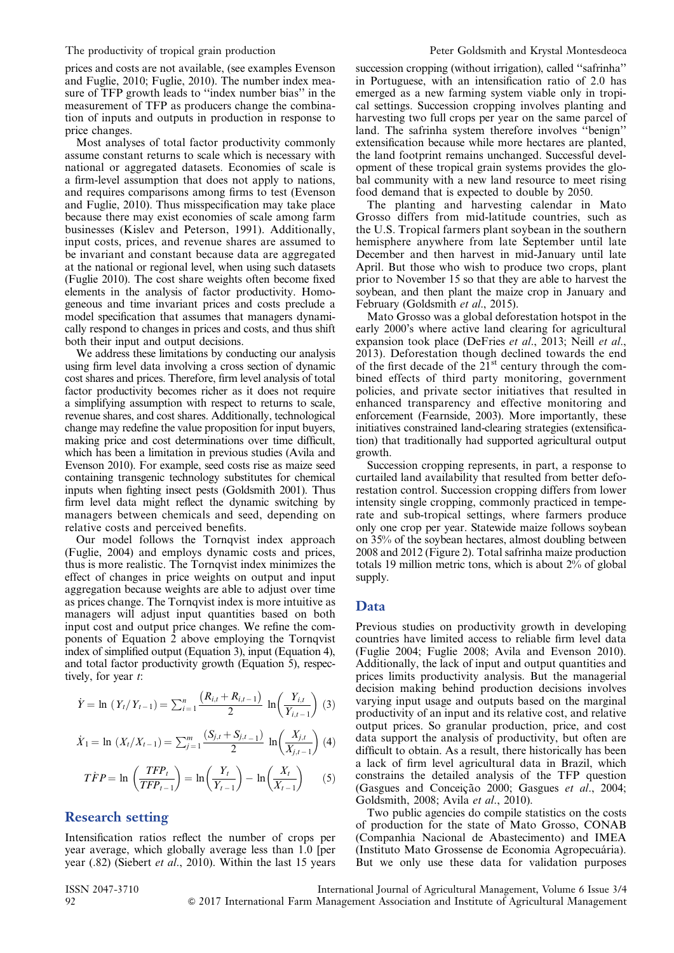prices and costs are not available, (see examples Evenson and Fuglie, 2010; Fuglie, 2010). The number index measure of TFP growth leads to "index number bias" in the measurement of TFP as producers change the combination of inputs and outputs in production in response to price changes.

Most analyses of total factor productivity commonly assume constant returns to scale which is necessary with national or aggregated datasets. Economies of scale is a firm-level assumption that does not apply to nations, and requires comparisons among firms to test (Evenson and Fuglie, 2010). Thus misspecification may take place because there may exist economies of scale among farm businesses (Kislev and Peterson, 1991). Additionally, input costs, prices, and revenue shares are assumed to be invariant and constant because data are aggregated at the national or regional level, when using such datasets (Fuglie 2010). The cost share weights often become fixed elements in the analysis of factor productivity. Homogeneous and time invariant prices and costs preclude a model specification that assumes that managers dynamically respond to changes in prices and costs, and thus shift both their input and output decisions.

We address these limitations by conducting our analysis using firm level data involving a cross section of dynamic cost shares and prices. Therefore, firm level analysis of total factor productivity becomes richer as it does not require a simplifying assumption with respect to returns to scale, revenue shares, and cost shares. Additionally, technological change may redefine the value proposition for input buyers, making price and cost determinations over time difficult, which has been a limitation in previous studies (Avila and Evenson 2010). For example, seed costs rise as maize seed containing transgenic technology substitutes for chemical inputs when fighting insect pests (Goldsmith 2001). Thus firm level data might reflect the dynamic switching by managers between chemicals and seed, depending on relative costs and perceived benefits.

Our model follows the Tornqvist index approach (Fuglie, 2004) and employs dynamic costs and prices, thus is more realistic. The Tornqvist index minimizes the effect of changes in price weights on output and input aggregation because weights are able to adjust over time as prices change. The Tornqvist index is more intuitive as managers will adjust input quantities based on both input cost and output price changes. We refine the components of Equation 2 above employing the Tornqvist index of simplified output (Equation 3), input (Equation 4), and total factor productivity growth (Equation 5), respectively, for year t:

$$
\dot{Y} = \ln (Y_t / Y_{t-1}) = \sum_{i=1}^{n} \frac{(R_{i,t} + R_{i,t-1})}{2} \ln \left( \frac{Y_{i,t}}{Y_{i,t-1}} \right) (3)
$$

$$
\dot{X}_1 = \ln (X_t/X_{t-1}) = \sum_{j=1}^m \frac{(S_{j,t} + S_{j,t-1})}{2} \ln \left( \frac{X_{j,t}}{X_{j,t-1}} \right) (4)
$$

$$
\dot{TFP} = \ln\left(\frac{TFP_t}{TFP_{t-1}}\right) = \ln\left(\frac{Y_t}{Y_{t-1}}\right) - \ln\left(\frac{X_t}{X_{t-1}}\right) \tag{5}
$$

#### Research setting

Intensification ratios reflect the number of crops per year average, which globally average less than 1.0 [per year (.82) (Siebert et al., 2010). Within the last 15 years succession cropping (without irrigation), called "safrinha" in Portuguese, with an intensification ratio of 2.0 has emerged as a new farming system viable only in tropical settings. Succession cropping involves planting and harvesting two full crops per year on the same parcel of land. The safrinha system therefore involves ''benign'' extensification because while more hectares are planted, the land footprint remains unchanged. Successful development of these tropical grain systems provides the global community with a new land resource to meet rising food demand that is expected to double by 2050.

The planting and harvesting calendar in Mato Grosso differs from mid-latitude countries, such as the U.S. Tropical farmers plant soybean in the southern hemisphere anywhere from late September until late December and then harvest in mid-January until late April. But those who wish to produce two crops, plant prior to November 15 so that they are able to harvest the soybean, and then plant the maize crop in January and February (Goldsmith et al., 2015).

Mato Grosso was a global deforestation hotspot in the early 2000's where active land clearing for agricultural expansion took place (DeFries et al., 2013; Neill et al., 2013). Deforestation though declined towards the end of the first decade of the  $21<sup>st</sup>$  century through the combined effects of third party monitoring, government policies, and private sector initiatives that resulted in enhanced transparency and effective monitoring and enforcement (Fearnside, 2003). More importantly, these initiatives constrained land-clearing strategies (extensification) that traditionally had supported agricultural output growth.

Succession cropping represents, in part, a response to curtailed land availability that resulted from better deforestation control. Succession cropping differs from lower intensity single cropping, commonly practiced in temperate and sub-tropical settings, where farmers produce only one crop per year. Statewide maize follows soybean on 35% of the soybean hectares, almost doubling between 2008 and 2012 ([Figure 2](#page-3-0)). Total safrinha maize production totals 19 million metric tons, which is about 2% of global supply.

#### Data

Previous studies on productivity growth in developing countries have limited access to reliable firm level data (Fuglie 2004; Fuglie 2008; Avila and Evenson 2010). Additionally, the lack of input and output quantities and prices limits productivity analysis. But the managerial decision making behind production decisions involves varying input usage and outputs based on the marginal productivity of an input and its relative cost, and relative output prices. So granular production, price, and cost data support the analysis of productivity, but often are difficult to obtain. As a result, there historically has been a lack of firm level agricultural data in Brazil, which constrains the detailed analysis of the TFP question (Gasgues and Conceição 2000; Gasgues et al., 2004; Goldsmith, 2008; Avila et al., 2010).

Two public agencies do compile statistics on the costs of production for the state of Mato Grosso, CONAB (Companhia Nacional de Abastecimento) and IMEA (Instituto Mato Grossense de Economia Agropecuária). But we only use these data for validation purposes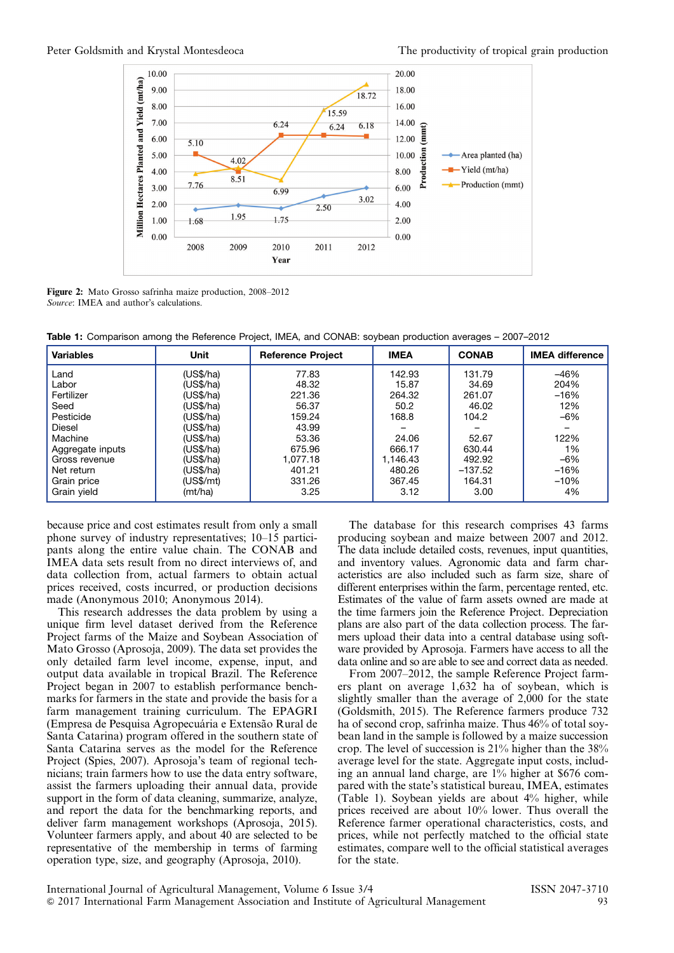<span id="page-3-0"></span>

Figure 2: Mato Grosso safrinha maize production, 2008–2012 Source: IMEA and author's calculations.

Table 1: Comparison among the Reference Project, IMEA, and CONAB: soybean production averages – 2007–2012

| <b>Variables</b> | Unit      | <b>Reference Project</b> | <b>IMEA</b> | <b>CONAB</b> | <b>IMEA difference</b> |
|------------------|-----------|--------------------------|-------------|--------------|------------------------|
| Land             | (US\$/ha) | 77.83                    | 142.93      | 131.79       | $-46%$                 |
| Labor            | (US\$/ha) | 48.32                    | 15.87       | 34.69        | 204%                   |
| Fertilizer       | (US\$/ha) | 221.36                   | 264.32      | 261.07       | $-16%$                 |
| Seed             | (US\$/ha) | 56.37                    | 50.2        | 46.02        | 12%                    |
| Pesticide        | (US\$/ha) | 159.24                   | 168.8       | 104.2        | $-6%$                  |
| <b>Diesel</b>    | (US\$/ha) | 43.99                    |             |              |                        |
| Machine          | (US\$/ha) | 53.36                    | 24.06       | 52.67        | 122%                   |
| Aggregate inputs | (US\$/ha) | 675.96                   | 666.17      | 630.44       | 1%                     |
| Gross revenue    | (US\$/ha) | 1,077.18                 | 1,146.43    | 492.92       | $-6%$                  |
| Net return       | (US\$/ha) | 401.21                   | 480.26      | $-137.52$    | $-16%$                 |
| Grain price      | (US\$/mt) | 331.26                   | 367.45      | 164.31       | $-10%$                 |
| Grain yield      | (mt/ha)   | 3.25                     | 3.12        | 3.00         | 4%                     |

because price and cost estimates result from only a small phone survey of industry representatives; 10–15 participants along the entire value chain. The CONAB and IMEA data sets result from no direct interviews of, and data collection from, actual farmers to obtain actual prices received, costs incurred, or production decisions made (Anonymous 2010; Anonymous 2014).

This research addresses the data problem by using a unique firm level dataset derived from the Reference Project farms of the Maize and Soybean Association of Mato Grosso (Aprosoja, 2009). The data set provides the only detailed farm level income, expense, input, and output data available in tropical Brazil. The Reference Project began in 2007 to establish performance benchmarks for farmers in the state and provide the basis for a farm management training curriculum. The EPAGRI (Empresa de Pesquisa Agropecuária e Extensão Rural de Santa Catarina) program offered in the southern state of Santa Catarina serves as the model for the Reference Project (Spies, 2007). Aprosoja's team of regional technicians; train farmers how to use the data entry software, assist the farmers uploading their annual data, provide support in the form of data cleaning, summarize, analyze, and report the data for the benchmarking reports, and deliver farm management workshops (Aprosoja, 2015). Volunteer farmers apply, and about 40 are selected to be representative of the membership in terms of farming operation type, size, and geography (Aprosoja, 2010).

The database for this research comprises 43 farms producing soybean and maize between 2007 and 2012. The data include detailed costs, revenues, input quantities, and inventory values. Agronomic data and farm characteristics are also included such as farm size, share of different enterprises within the farm, percentage rented, etc. Estimates of the value of farm assets owned are made at the time farmers join the Reference Project. Depreciation plans are also part of the data collection process. The farmers upload their data into a central database using software provided by Aprosoja. Farmers have access to all the data online and so are able to see and correct data as needed.

From 2007–2012, the sample Reference Project farmers plant on average 1,632 ha of soybean, which is slightly smaller than the average of 2,000 for the state (Goldsmith, 2015). The Reference farmers produce 732 ha of second crop, safrinha maize. Thus 46% of total soybean land in the sample is followed by a maize succession crop. The level of succession is 21% higher than the 38% average level for the state. Aggregate input costs, including an annual land charge, are 1% higher at \$676 compared with the state's statistical bureau, IMEA, estimates (Table 1). Soybean yields are about 4% higher, while prices received are about 10% lower. Thus overall the Reference farmer operational characteristics, costs, and prices, while not perfectly matched to the official state estimates, compare well to the official statistical averages for the state.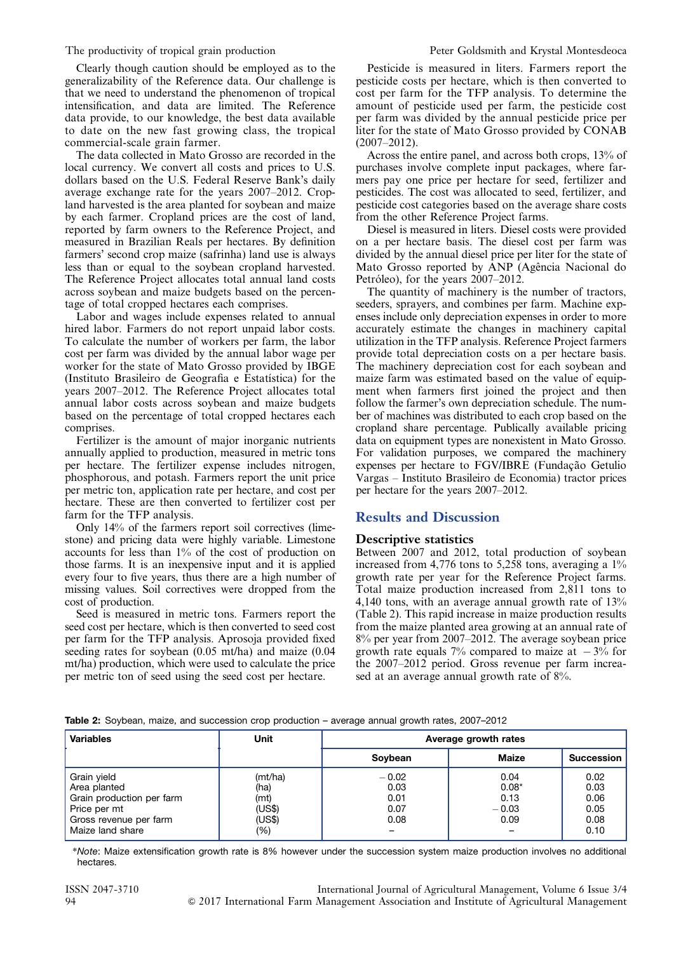Clearly though caution should be employed as to the generalizability of the Reference data. Our challenge is that we need to understand the phenomenon of tropical intensification, and data are limited. The Reference data provide, to our knowledge, the best data available to date on the new fast growing class, the tropical commercial-scale grain farmer.

The data collected in Mato Grosso are recorded in the local currency. We convert all costs and prices to U.S. dollars based on the U.S. Federal Reserve Bank's daily average exchange rate for the years 2007–2012. Cropland harvested is the area planted for soybean and maize by each farmer. Cropland prices are the cost of land, reported by farm owners to the Reference Project, and measured in Brazilian Reals per hectares. By definition farmers' second crop maize (safrinha) land use is always less than or equal to the soybean cropland harvested. The Reference Project allocates total annual land costs across soybean and maize budgets based on the percentage of total cropped hectares each comprises.

Labor and wages include expenses related to annual hired labor. Farmers do not report unpaid labor costs. To calculate the number of workers per farm, the labor cost per farm was divided by the annual labor wage per worker for the state of Mato Grosso provided by IBGE (Instituto Brasileiro de Geografia e Estatística) for the years 2007–2012. The Reference Project allocates total annual labor costs across soybean and maize budgets based on the percentage of total cropped hectares each comprises.

Fertilizer is the amount of major inorganic nutrients annually applied to production, measured in metric tons per hectare. The fertilizer expense includes nitrogen, phosphorous, and potash. Farmers report the unit price per metric ton, application rate per hectare, and cost per hectare. These are then converted to fertilizer cost per farm for the TFP analysis.

Only 14% of the farmers report soil correctives (limestone) and pricing data were highly variable. Limestone accounts for less than 1% of the cost of production on those farms. It is an inexpensive input and it is applied every four to five years, thus there are a high number of missing values. Soil correctives were dropped from the cost of production.

Seed is measured in metric tons. Farmers report the seed cost per hectare, which is then converted to seed cost per farm for the TFP analysis. Aprosoja provided fixed seeding rates for soybean (0.05 mt/ha) and maize (0.04 mt/ha) production, which were used to calculate the price per metric ton of seed using the seed cost per hectare.

Pesticide is measured in liters. Farmers report the pesticide costs per hectare, which is then converted to cost per farm for the TFP analysis. To determine the amount of pesticide used per farm, the pesticide cost per farm was divided by the annual pesticide price per liter for the state of Mato Grosso provided by CONAB (2007–2012).

Across the entire panel, and across both crops, 13% of purchases involve complete input packages, where farmers pay one price per hectare for seed, fertilizer and pesticides. The cost was allocated to seed, fertilizer, and pesticide cost categories based on the average share costs from the other Reference Project farms.

Diesel is measured in liters. Diesel costs were provided on a per hectare basis. The diesel cost per farm was divided by the annual diesel price per liter for the state of Mato Grosso reported by ANP (Agência Nacional do Petróleo), for the years 2007–2012.

The quantity of machinery is the number of tractors, seeders, sprayers, and combines per farm. Machine expenses include only depreciation expenses in order to more accurately estimate the changes in machinery capital utilization in the TFP analysis. Reference Project farmers provide total depreciation costs on a per hectare basis. The machinery depreciation cost for each soybean and maize farm was estimated based on the value of equipment when farmers first joined the project and then follow the farmer's own depreciation schedule. The number of machines was distributed to each crop based on the cropland share percentage. Publically available pricing data on equipment types are nonexistent in Mato Grosso. For validation purposes, we compared the machinery expenses per hectare to FGV/IBRE (Fundação Getulio Vargas – Instituto Brasileiro de Economia) tractor prices per hectare for the years 2007–2012.

#### Results and Discussion

#### Descriptive statistics

Between 2007 and 2012, total production of soybean increased from 4,776 tons to 5,258 tons, averaging a  $1\%$ growth rate per year for the Reference Project farms. Total maize production increased from 2,811 tons to 4,140 tons, with an average annual growth rate of 13% (Table 2). This rapid increase in maize production results from the maize planted area growing at an annual rate of 8% per year from 2007–2012. The average soybean price growth rate equals 7% compared to maize at  $-3\%$  for the 2007–2012 period. Gross revenue per farm increased at an average annual growth rate of 8%.

|  |  |  |  |  |  | Table 2: Soybean, maize, and succession crop production - average annual growth rates, 2007-2012 |
|--|--|--|--|--|--|--------------------------------------------------------------------------------------------------|
|  |  |  |  |  |  |                                                                                                  |
|  |  |  |  |  |  |                                                                                                  |

| <b>Variables</b>                                                                                                       | Unit                                               | Average growth rates                    |                                            |                                              |  |  |
|------------------------------------------------------------------------------------------------------------------------|----------------------------------------------------|-----------------------------------------|--------------------------------------------|----------------------------------------------|--|--|
|                                                                                                                        |                                                    | Soybean                                 | <b>Maize</b>                               | <b>Succession</b>                            |  |  |
| Grain yield<br>Area planted<br>Grain production per farm<br>Price per mt<br>Gross revenue per farm<br>Maize land share | (mt/ha)<br>(ha)<br>(mt)<br>(US\$)<br>(US\$)<br>(%) | $-0.02$<br>0.03<br>0.01<br>0.07<br>0.08 | 0.04<br>$0.08*$<br>0.13<br>$-0.03$<br>0.09 | 0.02<br>0.03<br>0.06<br>0.05<br>0.08<br>0.10 |  |  |

\*Note: Maize extensification growth rate is 8% however under the succession system maize production involves no additional hectares.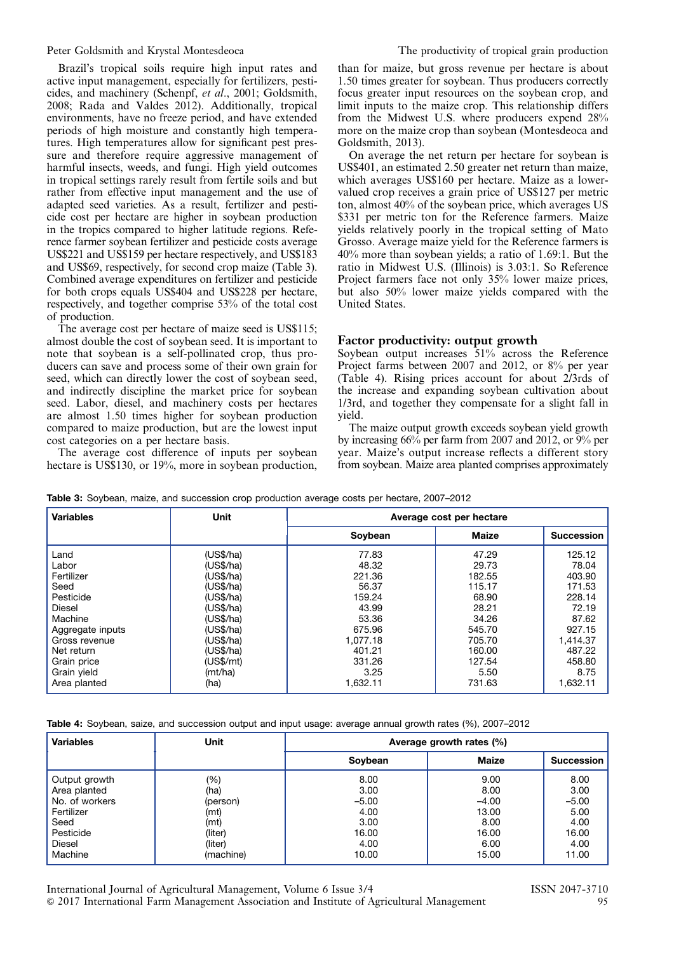<span id="page-5-0"></span>Brazil's tropical soils require high input rates and active input management, especially for fertilizers, pesticides, and machinery (Schenpf, et al., 2001; Goldsmith, 2008; Rada and Valdes 2012). Additionally, tropical environments, have no freeze period, and have extended periods of high moisture and constantly high temperatures. High temperatures allow for significant pest pressure and therefore require aggressive management of harmful insects, weeds, and fungi. High yield outcomes in tropical settings rarely result from fertile soils and but rather from effective input management and the use of adapted seed varieties. As a result, fertilizer and pesticide cost per hectare are higher in soybean production in the tropics compared to higher latitude regions. Reference farmer soybean fertilizer and pesticide costs average US\$221 and US\$159 per hectare respectively, and US\$183 and US\$69, respectively, for second crop maize (Table 3). Combined average expenditures on fertilizer and pesticide for both crops equals US\$404 and US\$228 per hectare, respectively, and together comprise 53% of the total cost of production.

The average cost per hectare of maize seed is US\$115; almost double the cost of soybean seed. It is important to note that soybean is a self-pollinated crop, thus producers can save and process some of their own grain for seed, which can directly lower the cost of soybean seed, and indirectly discipline the market price for soybean seed. Labor, diesel, and machinery costs per hectares are almost 1.50 times higher for soybean production compared to maize production, but are the lowest input cost categories on a per hectare basis.

The average cost difference of inputs per soybean hectare is US\$130, or 19%, more in soybean production,

than for maize, but gross revenue per hectare is about 1.50 times greater for soybean. Thus producers correctly focus greater input resources on the soybean crop, and limit inputs to the maize crop. This relationship differs from the Midwest U.S. where producers expend 28% more on the maize crop than soybean (Montesdeoca and Goldsmith, 2013).

On average the net return per hectare for soybean is US\$401, an estimated 2.50 greater net return than maize, which averages US\$160 per hectare. Maize as a lowervalued crop receives a grain price of US\$127 per metric ton, almost 40% of the soybean price, which averages US \$331 per metric ton for the Reference farmers. Maize yields relatively poorly in the tropical setting of Mato Grosso. Average maize yield for the Reference farmers is 40% more than soybean yields; a ratio of 1.69:1. But the ratio in Midwest U.S. (Illinois) is 3.03:1. So Reference Project farmers face not only 35% lower maize prices, but also 50% lower maize yields compared with the United States.

#### Factor productivity: output growth

Soybean output increases 51% across the Reference Project farms between 2007 and 2012, or 8% per year (Table 4). Rising prices account for about 2/3rds of the increase and expanding soybean cultivation about 1/3rd, and together they compensate for a slight fall in yield.

The maize output growth exceeds soybean yield growth by increasing 66% per farm from 2007 and 2012, or 9% per year. Maize's output increase reflects a different story from soybean. Maize area planted comprises approximately

| <b>Variables</b> | Unit      | Average cost per hectare |              |                   |  |  |
|------------------|-----------|--------------------------|--------------|-------------------|--|--|
|                  |           | Soybean                  | <b>Maize</b> | <b>Succession</b> |  |  |
| Land             | (US\$/ha) | 77.83                    | 47.29        | 125.12            |  |  |
| Labor            | (US\$/ha) | 48.32                    | 29.73        | 78.04             |  |  |
| Fertilizer       | (US\$/ha) | 221.36                   | 182.55       | 403.90            |  |  |
| Seed             | (US\$/ha) | 56.37                    | 115.17       | 171.53            |  |  |
| Pesticide        | (US\$/ha) | 159.24                   | 68.90        | 228.14            |  |  |
| <b>Diesel</b>    | (US\$/ha) | 43.99                    | 28.21        | 72.19             |  |  |
| Machine          | (US\$/ha) | 53.36                    | 34.26        | 87.62             |  |  |
| Aggregate inputs | (US\$/ha) | 675.96                   | 545.70       | 927.15            |  |  |
| Gross revenue    | (US\$/ha) | 1,077.18                 | 705.70       | 1,414.37          |  |  |
| Net return       | (US\$/ha) | 401.21                   | 160.00       | 487.22            |  |  |
| Grain price      | (US\$/mt) | 331.26                   | 127.54       | 458.80            |  |  |
| Grain yield      | (mt/ha)   | 3.25                     | 5.50         | 8.75              |  |  |
| Area planted     | (ha)      | 1,632.11                 | 731.63       | 1,632.11          |  |  |

Table 3: Soybean, maize, and succession crop production average costs per hectare, 2007–2012

Table 4: Soybean, saize, and succession output and input usage: average annual growth rates (%), 2007–2012

| <b>Variables</b> | <b>Unit</b> | Average growth rates (%) |         |                   |  |  |  |
|------------------|-------------|--------------------------|---------|-------------------|--|--|--|
|                  |             | Soybean                  | Maize   | <b>Succession</b> |  |  |  |
| Output growth    | (%)         | 8.00                     | 9.00    | 8.00              |  |  |  |
| Area planted     | (ha)        | 3.00                     | 8.00    | 3.00              |  |  |  |
| No. of workers   | (person)    | $-5.00$                  | $-4.00$ | $-5.00$           |  |  |  |
| Fertilizer       | (mt)        | 4.00                     | 13.00   | 5.00              |  |  |  |
| Seed             | (mt)        | 3.00                     | 8.00    | 4.00              |  |  |  |
| Pesticide        | (liter)     | 16.00                    | 16.00   | 16.00             |  |  |  |
| <b>Diesel</b>    | (liter)     | 4.00                     | 6.00    | 4.00              |  |  |  |
| Machine          | (machine)   | 10.00                    | 15.00   | 11.00             |  |  |  |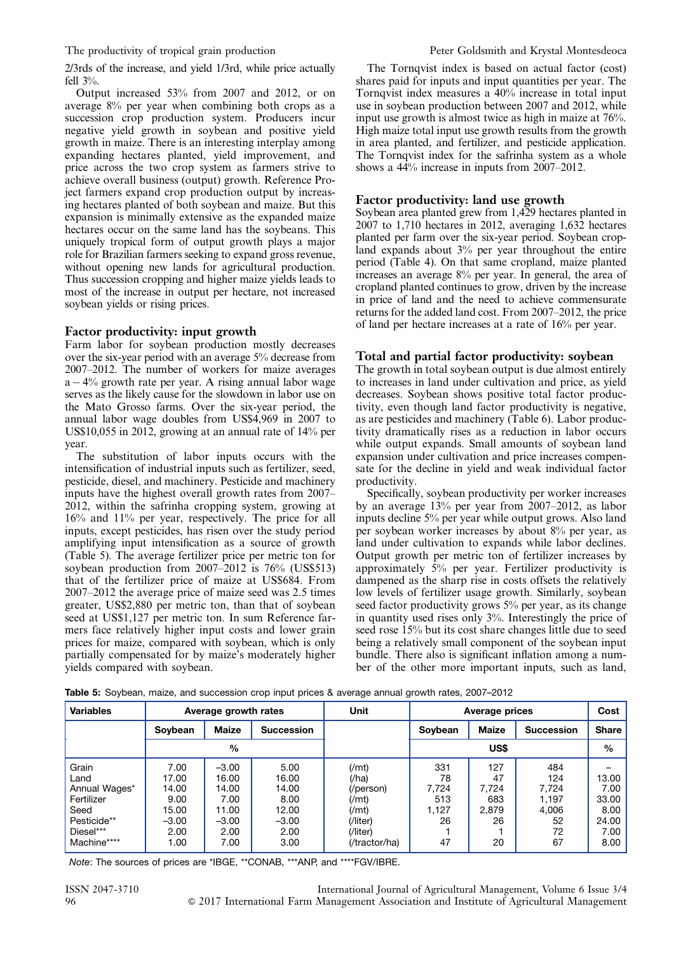2/3rds of the increase, and yield 1/3rd, while price actually fell 3%.

Output increased 53% from 2007 and 2012, or on average 8% per year when combining both crops as a succession crop production system. Producers incur negative yield growth in soybean and positive yield growth in maize. There is an interesting interplay among expanding hectares planted, yield improvement, and price across the two crop system as farmers strive to achieve overall business (output) growth. Reference Project farmers expand crop production output by increasing hectares planted of both soybean and maize. But this expansion is minimally extensive as the expanded maize hectares occur on the same land has the soybeans. This uniquely tropical form of output growth plays a major role for Brazilian farmers seeking to expand gross revenue, without opening new lands for agricultural production. Thus succession cropping and higher maize yields leads to most of the increase in output per hectare, not increased soybean yields or rising prices.

#### Factor productivity: input growth

Farm labor for soybean production mostly decreases over the six-year period with an average 5% decrease from 2007–2012. The number of workers for maize averages  $a - 4\%$  growth rate per year. A rising annual labor wage serves as the likely cause for the slowdown in labor use on the Mato Grosso farms. Over the six-year period, the annual labor wage doubles from US\$4,969 in 2007 to US\$10,055 in 2012, growing at an annual rate of 14% per year.

The substitution of labor inputs occurs with the intensification of industrial inputs such as fertilizer, seed, pesticide, diesel, and machinery. Pesticide and machinery inputs have the highest overall growth rates from 2007– 2012, within the safrinha cropping system, growing at 16% and 11% per year, respectively. The price for all inputs, except pesticides, has risen over the study period amplifying input intensification as a source of growth (Table 5). The average fertilizer price per metric ton for soybean production from 2007–2012 is 76% (US\$513) that of the fertilizer price of maize at US\$684. From 2007–2012 the average price of maize seed was 2.5 times greater, US\$2,880 per metric ton, than that of soybean seed at US\$1,127 per metric ton. In sum Reference farmers face relatively higher input costs and lower grain prices for maize, compared with soybean, which is only partially compensated for by maize's moderately higher yields compared with soybean.

The Tornqvist index is based on actual factor (cost) shares paid for inputs and input quantities per year. The Tornqvist index measures a 40% increase in total input use in soybean production between 2007 and 2012, while input use growth is almost twice as high in maize at 76%. High maize total input use growth results from the growth in area planted, and fertilizer, and pesticide application. The Tornqvist index for the safrinha system as a whole shows a 44% increase in inputs from 2007–2012.

#### Factor productivity: land use growth

Soybean area planted grew from 1,429 hectares planted in 2007 to 1,710 hectares in 2012, averaging 1,632 hectares planted per farm over the six-year period. Soybean cropland expands about 3% per year throughout the entire period ([Table 4](#page-5-0)). On that same cropland, maize planted increases an average 8% per year. In general, the area of cropland planted continues to grow, driven by the increase in price of land and the need to achieve commensurate returns for the added land cost. From 2007–2012, the price of land per hectare increases at a rate of 16% per year.

#### Total and partial factor productivity: soybean

The growth in total soybean output is due almost entirely to increases in land under cultivation and price, as yield decreases. Soybean shows positive total factor productivity, even though land factor productivity is negative, as are pesticides and machinery ([Table 6](#page-7-0)). Labor productivity dramatically rises as a reduction in labor occurs while output expands. Small amounts of soybean land expansion under cultivation and price increases compensate for the decline in yield and weak individual factor productivity.

Specifically, soybean productivity per worker increases by an average 13% per year from 2007–2012, as labor inputs decline 5% per year while output grows. Also land per soybean worker increases by about 8% per year, as land under cultivation to expands while labor declines. Output growth per metric ton of fertilizer increases by approximately 5% per year. Fertilizer productivity is dampened as the sharp rise in costs offsets the relatively low levels of fertilizer usage growth. Similarly, soybean seed factor productivity grows 5% per year, as its change in quantity used rises only 3%. Interestingly the price of seed rose 15% but its cost share changes little due to seed being a relatively small component of the soybean input bundle. There also is significant inflation among a number of the other more important inputs, such as land,

| <b>Variables</b> | Average growth rates |         |                   | Unit           | Average prices |              |                   | Cost         |
|------------------|----------------------|---------|-------------------|----------------|----------------|--------------|-------------------|--------------|
|                  | Soybean              | Maize   | <b>Succession</b> |                | Soybean        | <b>Maize</b> | <b>Succession</b> | <b>Share</b> |
|                  |                      | $\%$    |                   |                |                | US\$         |                   | %            |
| Grain            | 7.00                 | $-3.00$ | 5.00              | (Mnt)          | 331            | 127          | 484               |              |
| Land             | 17.00                | 16.00   | 16.00             | $(/\text{ha})$ | 78             | 47           | 124               | 13.00        |
| Annual Wages*    | 14.00                | 14.00   | 14.00             | (/person)      | 7,724          | 7,724        | 7,724             | 7.00         |
| Fertilizer       | 9.00                 | 7.00    | 8.00              | (Mnt)          | 513            | 683          | 1.197             | 33.00        |
| Seed             | 15.00                | 11.00   | 12.00             | (Mnt)          | 1,127          | 2,879        | 4,006             | 8.00         |
| Pesticide**      | $-3.00$              | $-3.00$ | $-3.00$           | (/liter)       | 26             | 26           | 52                | 24.00        |
| Diesel***        | 2.00                 | 2.00    | 2.00              | (/liter)       |                |              | 72                | 7.00         |
| Machine****      | 1.00                 | 7.00    | 3.00              | (/tractor/ha)  | 47             | 20           | 67                | 8.00         |

Table 5: Soybean, maize, and succession crop input prices & average annual growth rates, 2007–2012

Note: The sources of prices are \*IBGE, \*\*CONAB, \*\*\*ANP, and \*\*\*\*FGV/IBRE.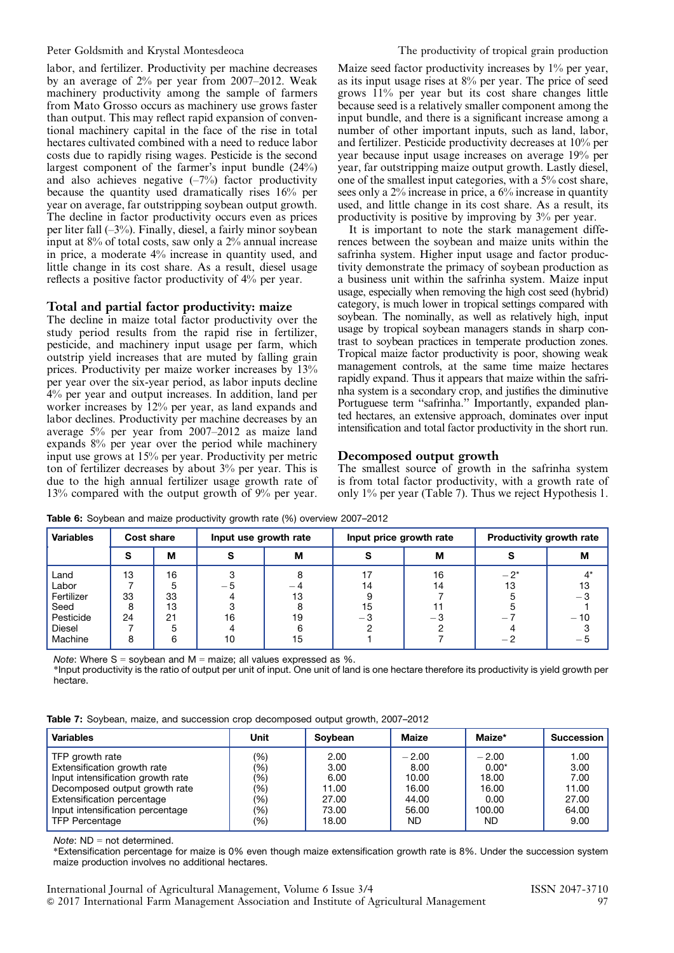<span id="page-7-0"></span>labor, and fertilizer. Productivity per machine decreases by an average of 2% per year from 2007–2012. Weak machinery productivity among the sample of farmers from Mato Grosso occurs as machinery use grows faster than output. This may reflect rapid expansion of conventional machinery capital in the face of the rise in total hectares cultivated combined with a need to reduce labor costs due to rapidly rising wages. Pesticide is the second largest component of the farmer's input bundle (24%) and also achieves negative  $(-7%)$  factor productivity because the quantity used dramatically rises 16% per year on average, far outstripping soybean output growth. The decline in factor productivity occurs even as prices per liter fall (–3%). Finally, diesel, a fairly minor soybean input at 8% of total costs, saw only a 2% annual increase in price, a moderate 4% increase in quantity used, and little change in its cost share. As a result, diesel usage reflects a positive factor productivity of 4% per year.

#### Total and partial factor productivity: maize

The decline in maize total factor productivity over the study period results from the rapid rise in fertilizer, pesticide, and machinery input usage per farm, which outstrip yield increases that are muted by falling grain prices. Productivity per maize worker increases by 13% per year over the six-year period, as labor inputs decline 4% per year and output increases. In addition, land per worker increases by 12% per year, as land expands and labor declines. Productivity per machine decreases by an average 5% per year from 2007–2012 as maize land expands 8% per year over the period while machinery input use grows at 15% per year. Productivity per metric ton of fertilizer decreases by about 3% per year. This is due to the high annual fertilizer usage growth rate of 13% compared with the output growth of 9% per year. Maize seed factor productivity increases by 1% per year, as its input usage rises at 8% per year. The price of seed grows 11% per year but its cost share changes little because seed is a relatively smaller component among the input bundle, and there is a significant increase among a number of other important inputs, such as land, labor, and fertilizer. Pesticide productivity decreases at 10% per year because input usage increases on average 19% per year, far outstripping maize output growth. Lastly diesel, one of the smallest input categories, with a 5% cost share, sees only a 2% increase in price, a 6% increase in quantity used, and little change in its cost share. As a result, its productivity is positive by improving by 3% per year.

It is important to note the stark management differences between the soybean and maize units within the safrinha system. Higher input usage and factor productivity demonstrate the primacy of soybean production as a business unit within the safrinha system. Maize input usage, especially when removing the high cost seed (hybrid) category, is much lower in tropical settings compared with soybean. The nominally, as well as relatively high, input usage by tropical soybean managers stands in sharp contrast to soybean practices in temperate production zones. Tropical maize factor productivity is poor, showing weak management controls, at the same time maize hectares rapidly expand. Thus it appears that maize within the safrinha system is a secondary crop, and justifies the diminutive Portuguese term "safrinha." Importantly, expanded planted hectares, an extensive approach, dominates over input intensification and total factor productivity in the short run.

#### Decomposed output growth

The smallest source of growth in the safrinha system is from total factor productivity, with a growth rate of only 1% per year (Table 7). Thus we reject Hypothesis 1.

| <b>Variables</b> | Cost share |    | Input use growth rate |    | Input price growth rate |      | Productivity growth rate |       |
|------------------|------------|----|-----------------------|----|-------------------------|------|--------------------------|-------|
|                  |            | M  |                       | м  |                         | M    |                          | М     |
| Land             | 13         | 16 |                       |    |                         | 16   | $-2^{*}$                 |       |
| Labor            |            |    | — 5                   |    | 14                      | 14   | 13                       |       |
| Fertilizer       | 33         | 33 |                       | 13 |                         |      |                          | - 3   |
| Seed             | 8          | 13 |                       |    | 15                      |      |                          |       |
| Pesticide        | 24         | 21 | 16                    | 19 | 5، —                    | 5، — |                          | $-10$ |
| Diesel           |            |    |                       |    |                         |      |                          |       |
| Machine          |            | ค  | 10                    | 15 |                         |      |                          |       |

Table 6: Soybean and maize productivity growth rate (%) overview 2007–2012

Note: Where  $S =$  soybean and  $M =$  maize; all values expressed as  $\%$ .

\*Input productivity is the ratio of output per unit of input. One unit of land is one hectare therefore its productivity is yield growth per hectare.

| Table 7: Soybean, maize, and succession crop decomposed output growth, 2007-2012 |  |  |  |  |  |
|----------------------------------------------------------------------------------|--|--|--|--|--|
|----------------------------------------------------------------------------------|--|--|--|--|--|

| <b>Variables</b>                  | Unit | Soybean | Maize   | Maize*  | <b>Succession</b> |
|-----------------------------------|------|---------|---------|---------|-------------------|
| TFP growth rate                   | (%)  | 2.00    | $-2.00$ | $-2.00$ | 1.00              |
| Extensification growth rate       | (%)  | 3.00    | 8.00    | $0.00*$ | 3.00              |
| Input intensification growth rate | (%)  | 6.00    | 10.00   | 18.00   | 7.00              |
| Decomposed output growth rate     | (%)  | 11.00   | 16.00   | 16.00   | 11.00             |
| Extensification percentage        | (%)  | 27.00   | 44.00   | 0.00    | 27.00             |
| Input intensification percentage  | (% ) | 73.00   | 56.00   | 100.00  | 64.00             |
| <b>TFP Percentage</b>             | (%)  | 18.00   | ND      | ND.     | 9.00              |

 $Note: ND = not determined.$ 

\*Extensification percentage for maize is 0% even though maize extensification growth rate is 8%. Under the succession system maize production involves no additional hectares.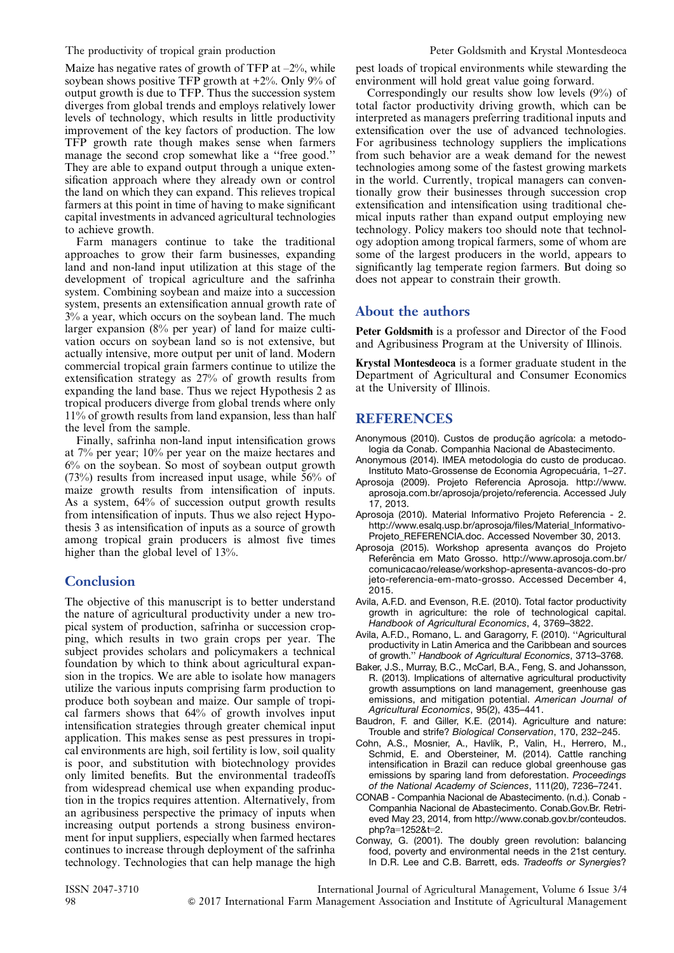Maize has negative rates of growth of TFP at  $-2\%$ , while soybean shows positive TFP growth at  $+2\%$ . Only 9% of output growth is due to TFP. Thus the succession system diverges from global trends and employs relatively lower levels of technology, which results in little productivity improvement of the key factors of production. The low TFP growth rate though makes sense when farmers manage the second crop somewhat like a "free good." They are able to expand output through a unique extensification approach where they already own or control the land on which they can expand. This relieves tropical farmers at this point in time of having to make significant capital investments in advanced agricultural technologies to achieve growth.

Farm managers continue to take the traditional approaches to grow their farm businesses, expanding land and non-land input utilization at this stage of the development of tropical agriculture and the safrinha system. Combining soybean and maize into a succession system, presents an extensification annual growth rate of 3% a year, which occurs on the soybean land. The much larger expansion (8% per year) of land for maize cultivation occurs on soybean land so is not extensive, but actually intensive, more output per unit of land. Modern commercial tropical grain farmers continue to utilize the extensification strategy as 27% of growth results from expanding the land base. Thus we reject Hypothesis 2 as tropical producers diverge from global trends where only 11% of growth results from land expansion, less than half the level from the sample.

Finally, safrinha non-land input intensification grows at 7% per year; 10% per year on the maize hectares and 6% on the soybean. So most of soybean output growth (73%) results from increased input usage, while 56% of maize growth results from intensification of inputs. As a system, 64% of succession output growth results from intensification of inputs. Thus we also reject Hypothesis 3 as intensification of inputs as a source of growth among tropical grain producers is almost five times higher than the global level of 13%.

### **Conclusion**

The objective of this manuscript is to better understand the nature of agricultural productivity under a new tropical system of production, safrinha or succession cropping, which results in two grain crops per year. The subject provides scholars and policymakers a technical foundation by which to think about agricultural expansion in the tropics. We are able to isolate how managers utilize the various inputs comprising farm production to produce both soybean and maize. Our sample of tropical farmers shows that 64% of growth involves input intensification strategies through greater chemical input application. This makes sense as pest pressures in tropical environments are high, soil fertility is low, soil quality is poor, and substitution with biotechnology provides only limited benefits. But the environmental tradeoffs from widespread chemical use when expanding production in the tropics requires attention. Alternatively, from an agribusiness perspective the primacy of inputs when increasing output portends a strong business environment for input suppliers, especially when farmed hectares continues to increase through deployment of the safrinha technology. Technologies that can help manage the high pest loads of tropical environments while stewarding the environment will hold great value going forward.

Correspondingly our results show low levels (9%) of total factor productivity driving growth, which can be interpreted as managers preferring traditional inputs and extensification over the use of advanced technologies. For agribusiness technology suppliers the implications from such behavior are a weak demand for the newest technologies among some of the fastest growing markets in the world. Currently, tropical managers can conventionally grow their businesses through succession crop extensification and intensification using traditional chemical inputs rather than expand output employing new technology. Policy makers too should note that technology adoption among tropical farmers, some of whom are some of the largest producers in the world, appears to significantly lag temperate region farmers. But doing so does not appear to constrain their growth.

## About the authors

Peter Goldsmith is a professor and Director of the Food and Agribusiness Program at the University of Illinois.

Krystal Montesdeoca is a former graduate student in the Department of Agricultural and Consumer Economics at the University of Illinois.

## REFERENCES

- Anonymous (2010). Custos de produção agrícola: a metodologia da Conab. Companhia Nacional de Abastecimento.
- Anonymous (2014). IMEA metodologia do custo de producao. Instituto Mato-Grossense de Economia Agropecuária, 1–27.
- Aprosoja (2009). Projeto Referencia Aprosoja. http://www. aprosoja.com.br/aprosoja/projeto/referencia. Accessed July 17, 2013.
- Aprosoja (2010). Material Informativo Projeto Referencia 2. http://www.esalq.usp.br/aprosoja/files/Material\_Informativo-Projeto\_REFERENCIA.doc. Accessed November 30, 2013.
- Aprosoja (2015). Workshop apresenta avanços do Projeto Referência em Mato Grosso. http://www.aprosoja.com.br/ comunicacao/release/workshop-apresenta-avancos-do-pro jeto-referencia-em-mato-grosso. Accessed December 4, 2015.
- Avila, A.F.D. and Evenson, R.E. (2010). Total factor productivity growth in agriculture: the role of technological capital. Handbook of Agricultural Economics, 4, 3769–3822.
- Avila, A.F.D., Romano, L. and Garagorry, F. (2010). ''Agricultural productivity in Latin America and the Caribbean and sources of growth.'' Handbook of Agricultural Economics, 3713–3768.
- Baker, J.S., Murray, B.C., McCarl, B.A., Feng, S. and Johansson, R. (2013). Implications of alternative agricultural productivity growth assumptions on land management, greenhouse gas emissions, and mitigation potential. American Journal of Agricultural Economics, 95(2), 435–441.
- Baudron, F. and Giller, K.E. (2014). Agriculture and nature: Trouble and strife? Biological Conservation, 170, 232–245.
- Cohn, A.S., Mosnier, A., Havlík, P., Valin, H., Herrero, M., Schmid, E. and Obersteiner, M. (2014). Cattle ranching intensification in Brazil can reduce global greenhouse gas emissions by sparing land from deforestation. Proceedings of the National Academy of Sciences, 111(20), 7236–7241.
- CONAB Companhia Nacional de Abastecimento. (n.d.). Conab Companhia Nacional de Abastecimento. Conab.Gov.Br. Retrieved May 23, 2014, from http://www.conab.gov.br/conteudos. php?a=1252&t=2.
- Conway, G. (2001). The doubly green revolution: balancing food, poverty and environmental needs in the 21st century. In D.R. Lee and C.B. Barrett, eds. Tradeoffs or Synergies?